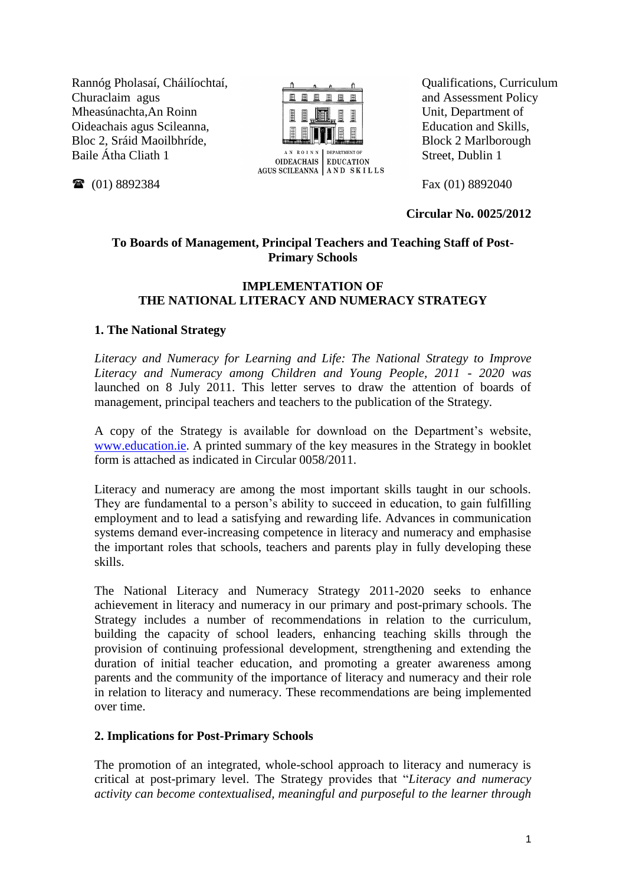Rannóg Pholasaí, Cháilíochtaí, Churaclaim agus Mheasúnachta,An Roinn Oideachais agus Scileanna, Bloc 2, Sráid Maoilbhríde, Baile Átha Cliath 1

(01) 8892384



Qualifications, Curriculum and Assessment Policy Unit, Department of Education and Skills, Block 2 Marlborough Street, Dublin 1

Fax (01) 8892040

**Circular No. 0025/2012**

# **To Boards of Management, Principal Teachers and Teaching Staff of Post-Primary Schools**

### **IMPLEMENTATION OF THE NATIONAL LITERACY AND NUMERACY STRATEGY**

# **1. The National Strategy**

*Literacy and Numeracy for Learning and Life: The National Strategy to Improve Literacy and Numeracy among Children and Young People, 2011 - 2020 was*  launched on 8 July 2011. This letter serves to draw the attention of boards of management, principal teachers and teachers to the publication of the Strategy*.*

A copy of the Strategy is available for download on the Department"s website, [www.education.ie.](http://www.education.ie/) A printed summary of the key measures in the Strategy in booklet form is attached as indicated in Circular 0058/2011.

Literacy and numeracy are among the most important skills taught in our schools. They are fundamental to a person"s ability to succeed in education, to gain fulfilling employment and to lead a satisfying and rewarding life. Advances in communication systems demand ever-increasing competence in literacy and numeracy and emphasise the important roles that schools, teachers and parents play in fully developing these skills.

The National Literacy and Numeracy Strategy 2011-2020 seeks to enhance achievement in literacy and numeracy in our primary and post-primary schools. The Strategy includes a number of recommendations in relation to the curriculum, building the capacity of school leaders, enhancing teaching skills through the provision of continuing professional development, strengthening and extending the duration of initial teacher education, and promoting a greater awareness among parents and the community of the importance of literacy and numeracy and their role in relation to literacy and numeracy. These recommendations are being implemented over time.

# **2. Implications for Post-Primary Schools**

The promotion of an integrated, whole-school approach to literacy and numeracy is critical at post-primary level. The Strategy provides that "*Literacy and numeracy activity can become contextualised, meaningful and purposeful to the learner through*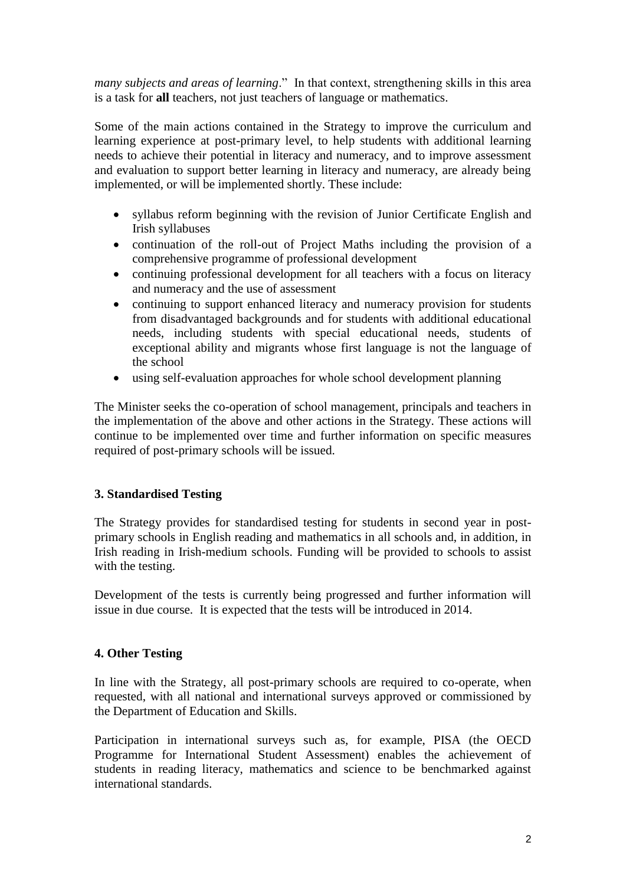*many subjects and areas of learning*." In that context, strengthening skills in this area is a task for **all** teachers, not just teachers of language or mathematics.

Some of the main actions contained in the Strategy to improve the curriculum and learning experience at post-primary level, to help students with additional learning needs to achieve their potential in literacy and numeracy, and to improve assessment and evaluation to support better learning in literacy and numeracy, are already being implemented, or will be implemented shortly. These include:

- syllabus reform beginning with the revision of Junior Certificate English and Irish syllabuses
- continuation of the roll-out of Project Maths including the provision of a comprehensive programme of professional development
- continuing professional development for all teachers with a focus on literacy and numeracy and the use of assessment
- continuing to support enhanced literacy and numeracy provision for students from disadvantaged backgrounds and for students with additional educational needs, including students with special educational needs, students of exceptional ability and migrants whose first language is not the language of the school
- using self-evaluation approaches for whole school development planning

The Minister seeks the co-operation of school management, principals and teachers in the implementation of the above and other actions in the Strategy. These actions will continue to be implemented over time and further information on specific measures required of post-primary schools will be issued.

# **3. Standardised Testing**

The Strategy provides for standardised testing for students in second year in postprimary schools in English reading and mathematics in all schools and, in addition, in Irish reading in Irish-medium schools. Funding will be provided to schools to assist with the testing.

Development of the tests is currently being progressed and further information will issue in due course. It is expected that the tests will be introduced in 2014.

# **4. Other Testing**

In line with the Strategy, all post-primary schools are required to co-operate, when requested, with all national and international surveys approved or commissioned by the Department of Education and Skills.

Participation in international surveys such as, for example, PISA (the OECD Programme for International Student Assessment) enables the achievement of students in reading literacy, mathematics and science to be benchmarked against international standards.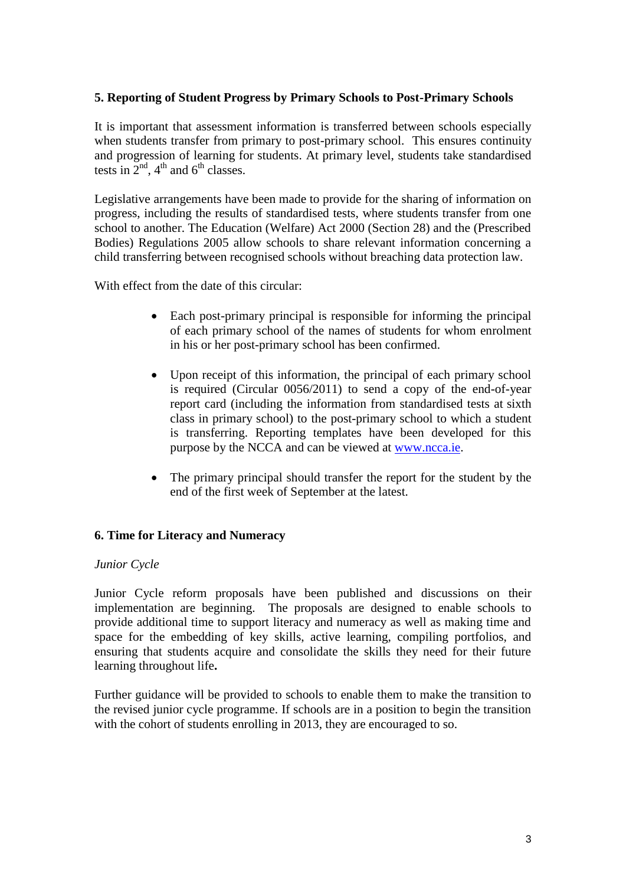### **5. Reporting of Student Progress by Primary Schools to Post-Primary Schools**

It is important that assessment information is transferred between schools especially when students transfer from primary to post-primary school. This ensures continuity and progression of learning for students. At primary level, students take standardised tests in  $2<sup>nd</sup>$ , 4<sup>th</sup> and 6<sup>th</sup> classes.

Legislative arrangements have been made to provide for the sharing of information on progress, including the results of standardised tests, where students transfer from one school to another. The Education (Welfare) Act 2000 (Section 28) and the (Prescribed Bodies) Regulations 2005 allow schools to share relevant information concerning a child transferring between recognised schools without breaching data protection law.

With effect from the date of this circular:

- Each post-primary principal is responsible for informing the principal of each primary school of the names of students for whom enrolment in his or her post-primary school has been confirmed.
- Upon receipt of this information, the principal of each primary school is required (Circular 0056/2011) to send a copy of the end-of-year report card (including the information from standardised tests at sixth class in primary school) to the post-primary school to which a student is transferring. Reporting templates have been developed for this purpose by the NCCA and can be viewed at [www.ncca.ie.](http://www.ncca.ie/)
- The primary principal should transfer the report for the student by the end of the first week of September at the latest.

# **6. Time for Literacy and Numeracy**

#### *Junior Cycle*

Junior Cycle reform proposals have been published and discussions on their implementation are beginning. The proposals are designed to enable schools to provide additional time to support literacy and numeracy as well as making time and space for the embedding of key skills, active learning, compiling portfolios, and ensuring that students acquire and consolidate the skills they need for their future learning throughout life**.**

Further guidance will be provided to schools to enable them to make the transition to the revised junior cycle programme. If schools are in a position to begin the transition with the cohort of students enrolling in 2013, they are encouraged to so.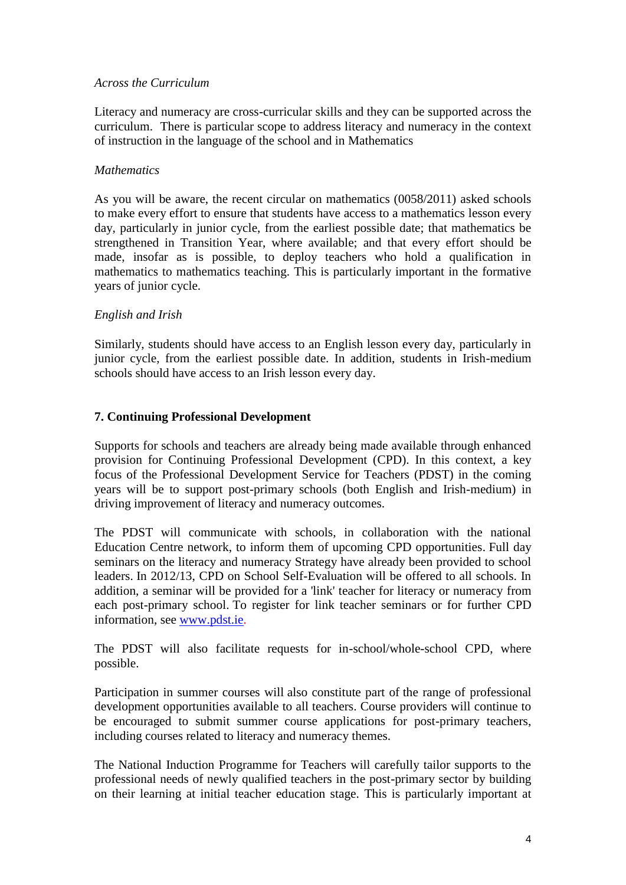#### *Across the Curriculum*

Literacy and numeracy are cross-curricular skills and they can be supported across the curriculum. There is particular scope to address literacy and numeracy in the context of instruction in the language of the school and in Mathematics

### *Mathematics*

As you will be aware, the recent circular on mathematics (0058/2011) asked schools to make every effort to ensure that students have access to a mathematics lesson every day, particularly in junior cycle, from the earliest possible date; that mathematics be strengthened in Transition Year, where available; and that every effort should be made, insofar as is possible, to deploy teachers who hold a qualification in mathematics to mathematics teaching. This is particularly important in the formative years of junior cycle.

### *English and Irish*

Similarly, students should have access to an English lesson every day, particularly in junior cycle, from the earliest possible date. In addition, students in Irish-medium schools should have access to an Irish lesson every day.

### **7. Continuing Professional Development**

Supports for schools and teachers are already being made available through enhanced provision for Continuing Professional Development (CPD). In this context, a key focus of the Professional Development Service for Teachers (PDST) in the coming years will be to support post-primary schools (both English and Irish-medium) in driving improvement of literacy and numeracy outcomes.

The PDST will communicate with schools, in collaboration with the national Education Centre network, to inform them of upcoming CPD opportunities. Full day seminars on the literacy and numeracy Strategy have already been provided to school leaders. In 2012/13, CPD on School Self-Evaluation will be offered to all schools. In addition, a seminar will be provided for a 'link' teacher for literacy or numeracy from each post-primary school. To register for link teacher seminars or for further CPD information, see [www.pdst.ie.](http://www.pdst.ie/)

The PDST will also facilitate requests for in-school/whole-school CPD, where possible.

Participation in summer courses will also constitute part of the range of professional development opportunities available to all teachers. Course providers will continue to be encouraged to submit summer course applications for post-primary teachers, including courses related to literacy and numeracy themes.

The National Induction Programme for Teachers will carefully tailor supports to the professional needs of newly qualified teachers in the post-primary sector by building on their learning at initial teacher education stage. This is particularly important at